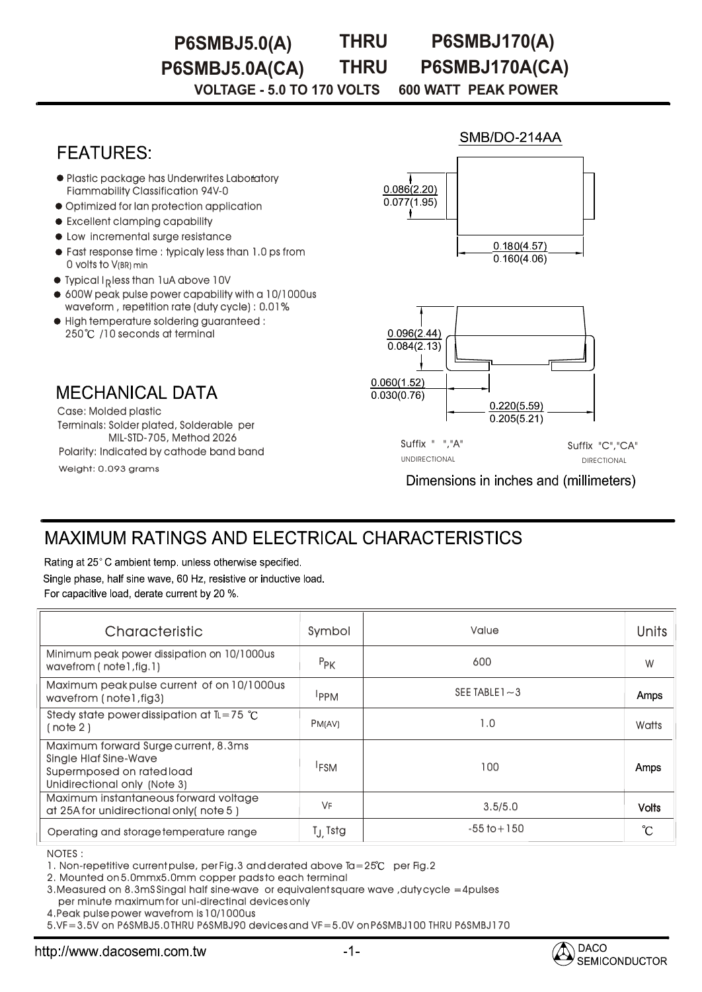**THRU P6SMBJ5.0(A) THRU P6SMBJ170(A) P6SMBJ5.0A(CA) P6SMBJ170A(CA)**

**VOLTAGE - 5.0 TO 170 VOLTS 600 WATT PEAK POWER** 

# **FEATURES**

- Plastic package has Underwrites Laboratory Fiammability Classification 94V-0
- $\bullet$  Optimized for lan protection application
- Excellent clamping capability
- $\bullet$  Low incremental surge resistance
- Fast response time : typicaly less than 1.0 ps from 0 volts to V(BR) min
- $\bullet$  Typical I<sub>p</sub>less than 1uA above 10V
- 600W peak pulse power capability with a 10/1000us waveform , repetition rate (duty cycle) : 0.01%
- High temperature soldering guaranteed : :250℃ /10 seconds at terminal

**MECHANICAL DATA** 

Weight: 0.093 grams Terminals: Solder plated, Solderable per MIL-STD-705, Method 2026 Case: Molded plastic Polarity: Indicated by cathode band band

# SMB/DO-214AA  $0.086(2.20)$  $0.077(1.95)$  $0.180(4.57)$  $0.160(4.06)$



Suffix " ","A" Suffix "C","CA" UNDIRECTIONAL DIRECTIONAL DIRECTIONAL

Dimensions in inches and (millimeters)

# MAXIMUM RATINGS AND ELECTRICAL CHARACTERISTICS

Rating at 25°C ambient temp, unless otherwise specified. Single phase, half sine wave, 60 Hz, resistive or inductive load. For capacitive load, derate current by 20 %.

| Characteristic                                                                                                                    | Symbol           | Value             | Units        |
|-----------------------------------------------------------------------------------------------------------------------------------|------------------|-------------------|--------------|
| Minimum peak power dissipation on 10/1000us<br>wavefrom $($ note $1$ , fig. $1)$                                                  | $P_{PK}$         | 600               | W            |
| Maximum peak pulse current of on 10/1000us<br>wavefrom (note1, fig3)                                                              | <b>IPPM</b>      | SEE TABLE $1 - 3$ | Amps         |
| Stedy state power dissipation at $\mathbb{L} = 75$ °C<br>(note 2)                                                                 | <b>PM(AV)</b>    | 1.0               | Watts        |
| Maximum forward Surge current, 8.3ms<br><b>Single Hlaf Sine-Wave</b><br>Supermposed on rated load<br>Unidirectional only (Note 3) | <sup>1</sup> FSM | 100               | Amps         |
| Maximum instantaneous forward voltage<br>at 25A for unidirectional only (note 5)                                                  | VF               | 3.5/5.0           | <b>Volts</b> |
| Operating and storage temperature range                                                                                           | $I_J$ Tstg       | $-55$ to $+150$   | °C           |

NOTES : :

1. Non-repetitive current pulse, per Fig.3 and derated above  $Ia = 25^\circ C$  per Fig.2

2. Mounted on 5.0mmx5.0mm copper pads to each terminal

3.Measured on 8.3mS Singal half sine-wave or equivalent square wave ,duty cycle =4pulses per minute maximum for uni-directinal devices only

4.Peak pulse power wavefrom is 10/1000us

5.VF=3.5V on P6SMBJ5.0 THRU P6SMBJ90 devices and VF=5.0V on P6SMBJ100 THRU P6SMBJ170 P6SMBJ170

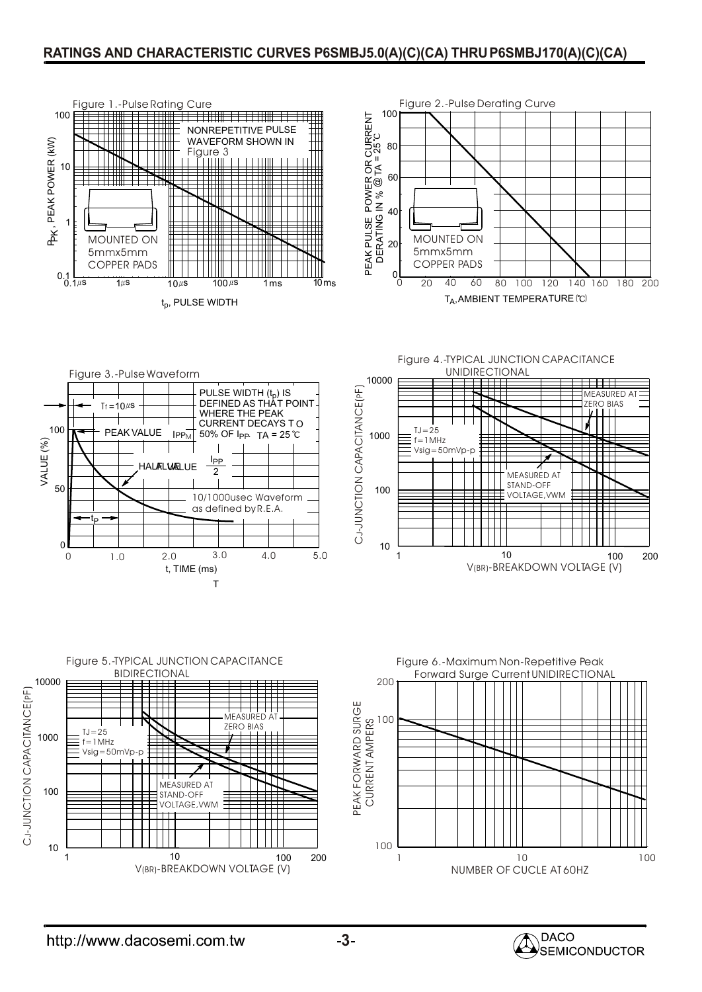#### **RATINGS AND CHARACTERISTIC CURVES P6SMBJ5.0(A)(C)(CA) THRUP6SMBJ170(A)(C)(CA)**













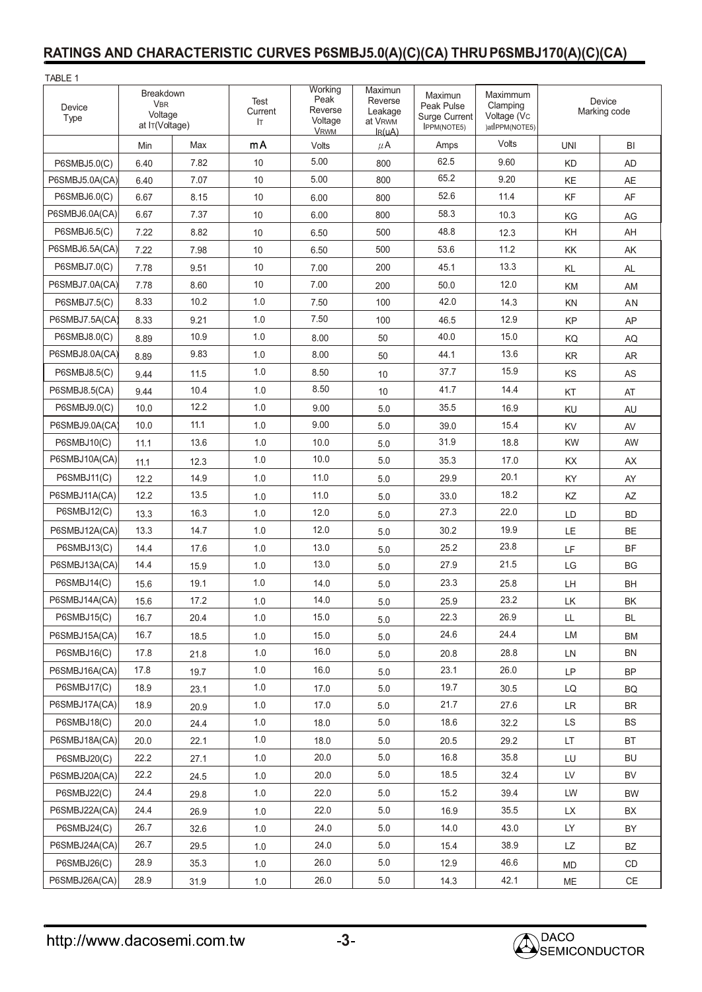## **RATINGS AND CHARACTERISTIC CURVES P6SMBJ5.0(A)(C)(CA) THRUP6SMBJ170(A)(C)(CA)**

| TABLE 1            |                                                      |      |                       |                                                      |                                                                     |                                                                     |                                                       |                        |                                                                    |
|--------------------|------------------------------------------------------|------|-----------------------|------------------------------------------------------|---------------------------------------------------------------------|---------------------------------------------------------------------|-------------------------------------------------------|------------------------|--------------------------------------------------------------------|
| Device<br>Type     | Breakdown<br><b>VBR</b><br>Voltage<br>at IT(Voltage) |      | Test<br>Current<br>lτ | Working<br>Peak<br>Reverse<br>Voltage<br><b>VRWM</b> | Maximun<br>Reverse<br>Leakage<br>at V <sub>RWM</sub><br>$I_{R}(uA)$ | Maximun<br>Peak Pulse<br><b>Surge Current</b><br><b>IPPM(NOTE5)</b> | Maximmum<br>Clamping<br>Voltage (Vc<br>)atlPPM(NOTE5) | Device<br>Marking code |                                                                    |
|                    | Min                                                  | Max  | mA                    | Volts                                                | $\mu$ A                                                             | Amps                                                                | Volts                                                 | <b>UNI</b>             | BI                                                                 |
| P6SMBJ5.0(C)       | 6.40                                                 | 7.82 | 10                    | 5.00                                                 | 800                                                                 | 62.5                                                                | 9.60                                                  | <b>KD</b>              | <b>AD</b>                                                          |
| P6SMBJ5.0A(CA)     | 6.40                                                 | 7.07 | 10                    | 5.00                                                 | 800                                                                 | 65.2                                                                | 9.20                                                  | KE                     | AE                                                                 |
| P6SMBJ6.0(C)       | 6.67                                                 | 8.15 | 10                    | 6.00                                                 | 800                                                                 | 52.6                                                                | 11.4                                                  | KF                     | AF                                                                 |
| P6SMBJ6.0A(CA)     | 6.67                                                 | 7.37 | 10                    | 6.00                                                 | 800                                                                 | 58.3                                                                | 10.3                                                  | KG                     | AG                                                                 |
| P6SMBJ6.5(C)       | 7.22                                                 | 8.82 | 10                    | 6.50                                                 | 500                                                                 | 48.8                                                                | 12.3                                                  | KH                     | AH                                                                 |
| P6SMBJ6.5A(CA)     | 7.22                                                 | 7.98 | 10                    | 6.50                                                 | 500                                                                 | 53.6                                                                | 11.2                                                  | KK                     | AK                                                                 |
| P6SMBJ7.0(C)       | 7.78                                                 | 9.51 | 10                    | 7.00                                                 | 200                                                                 | 45.1                                                                | 13.3                                                  | KL                     | AL                                                                 |
| P6SMBJ7.0A(CA)     | 7.78                                                 | 8.60 | 10                    | 7.00                                                 | 200                                                                 | 50.0                                                                | 12.0                                                  | KM                     | AM                                                                 |
| P6SMBJ7.5(C)       | 8.33                                                 | 10.2 | 1.0                   | 7.50                                                 | 100                                                                 | 42.0                                                                | 14.3                                                  | KN                     | AN                                                                 |
| P6SMBJ7.5A(CA)     | 8.33                                                 | 9.21 | 1.0                   | 7.50                                                 | 100                                                                 | 46.5                                                                | 12.9                                                  | KP                     | AP                                                                 |
| P6SMBJ8.0(C)       | 8.89                                                 | 10.9 | 1.0                   | 8.00                                                 | 50                                                                  | 40.0                                                                | 15.0                                                  | KQ                     | AQ                                                                 |
| P6SMBJ8.0A(CA)     | 8.89                                                 | 9.83 | 1.0                   | 8.00                                                 | 50                                                                  | 44.1                                                                | 13.6                                                  | KR                     | <b>AR</b>                                                          |
| P6SMBJ8.5(C)       | 9.44                                                 | 11.5 | 1.0                   | 8.50                                                 | 10                                                                  | 37.7                                                                | 15.9                                                  | KS                     | AS                                                                 |
| P6SMBJ8.5(CA)      | 9.44                                                 | 10.4 | 1.0                   | 8.50                                                 | 10                                                                  | 41.7                                                                | 14.4                                                  | KT                     | AT                                                                 |
| P6SMBJ9.0(C)       | 10.0                                                 | 12.2 | 1.0                   | 9.00                                                 | 5.0                                                                 | 35.5                                                                | 16.9                                                  | KU                     | AU                                                                 |
| P6SMBJ9.0A(CA)     | 10.0                                                 | 11.1 | 1.0                   | 9.00                                                 | 5.0                                                                 | 39.0                                                                | 15.4                                                  | KV                     | AV                                                                 |
| P6SMBJ10(C)        | 11.1                                                 | 13.6 | 1.0                   | 10.0                                                 | 5.0                                                                 | 31.9                                                                | 18.8                                                  | <b>KW</b>              | AW                                                                 |
| P6SMBJ10A(CA)      | 11.1                                                 | 12.3 | 1.0                   | 10.0                                                 | 5.0                                                                 | 35.3                                                                | 17.0                                                  | KX                     | AX                                                                 |
| P6SMBJ11(C)        | 12.2                                                 | 14.9 | 1.0                   | 11.0                                                 | 5.0                                                                 | 29.9                                                                | 20.1                                                  | KY                     | AY                                                                 |
| P6SMBJ11A(CA)      | 12.2                                                 | 13.5 | 1.0                   | 11.0                                                 | 5.0                                                                 | 33.0                                                                | 18.2                                                  | KZ                     | AZ                                                                 |
| P6SMBJ12(C)        | 13.3                                                 | 16.3 | 1.0                   | 12.0                                                 | 5.0                                                                 | 27.3                                                                | 22.0                                                  | LD                     | <b>BD</b>                                                          |
| P6SMBJ12A(CA)      | 13.3                                                 | 14.7 | 1.0                   | 12.0                                                 | 5.0                                                                 | 30.2                                                                | 19.9                                                  | LE                     | <b>BE</b>                                                          |
| P6SMBJ13(C)        | 14.4                                                 | 17.6 | 1.0                   | 13.0                                                 | 5.0                                                                 | 25.2                                                                | 23.8                                                  | LF                     | <b>BF</b>                                                          |
| P6SMBJ13A(CA)      | 14.4                                                 | 15.9 | 1.0                   | 13.0                                                 | 5.0                                                                 | 27.9                                                                | 21.5                                                  | LG                     | <b>BG</b>                                                          |
| P6SMBJ14(C)        | 15.6                                                 | 19.1 | 1.0                   | 14.0                                                 | 5.0                                                                 | 23.3                                                                | 25.8                                                  | LH                     | <b>BH</b>                                                          |
| P6SMBJ14A(CA)      | 15.6                                                 | 17.2 | 1.0                   | 14.0                                                 | 5.0                                                                 | 25.9                                                                | 23.2                                                  | LK                     | BK                                                                 |
| P6SMBJ15(C)        | 16.7                                                 | 20.4 | 1.0                   | 15.0                                                 | 5.0                                                                 | 22.3                                                                | 26.9                                                  | LL                     | <b>BL</b>                                                          |
| P6SMBJ15A(CA)      | 16.7                                                 | 18.5 | 1.0                   | 15.0                                                 | $5.0$                                                               | 24.6                                                                | 24.4                                                  | LM                     | ВM                                                                 |
| P6SMBJ16(C)        | 17.8                                                 | 21.8 | 1.0                   | 16.0                                                 | 5.0                                                                 | 20.8                                                                | 28.8                                                  | LN                     | <b>BN</b>                                                          |
| P6SMBJ16A(CA)      | 17.8                                                 | 19.7 | 1.0                   | 16.0                                                 | 5.0                                                                 | 23.1                                                                | 26.0                                                  | LP                     | <b>BP</b>                                                          |
| P6SMBJ17(C)        | 18.9                                                 | 23.1 | 1.0                   | 17.0                                                 | 5.0                                                                 | 19.7                                                                | 30.5                                                  | LQ                     | BQ                                                                 |
| P6SMBJ17A(CA)      | 18.9                                                 | 20.9 | 1.0                   | 17.0                                                 | 5.0                                                                 | 21.7                                                                | 27.6                                                  | LR                     | <b>BR</b>                                                          |
| P6SMBJ18(C)        | 20.0                                                 | 24.4 | 1.0                   | 18.0                                                 | 5.0                                                                 | 18.6                                                                | 32.2                                                  | LS.                    | BS                                                                 |
| P6SMBJ18A(CA)      | 20.0                                                 | 22.1 | 1.0                   | 18.0                                                 | 5.0                                                                 | 20.5                                                                | 29.2                                                  | LT.                    | BT                                                                 |
| <b>P6SMBJ20(C)</b> | 22.2                                                 | 27.1 | 1.0                   | 20.0                                                 | 5.0                                                                 | 16.8                                                                | 35.8                                                  | LU                     | BU                                                                 |
| P6SMBJ20A(CA)      | 22.2                                                 | 24.5 | 1.0                   | 20.0                                                 | 5.0                                                                 | 18.5                                                                | 32.4                                                  | LV                     | <b>BV</b>                                                          |
| P6SMBJ22(C)        | 24.4                                                 | 29.8 | 1.0                   | 22.0                                                 | 5.0                                                                 | 15.2                                                                | 39.4                                                  | LW                     | BW                                                                 |
| P6SMBJ22A(CA)      | 24.4                                                 | 26.9 | 1.0                   | 22.0                                                 | 5.0                                                                 | 16.9                                                                | 35.5                                                  | LX                     | BX                                                                 |
| P6SMBJ24(C)        | 26.7                                                 | 32.6 | 1.0                   | 24.0                                                 | 5.0                                                                 | 14.0                                                                | 43.0                                                  | LY.                    | BY                                                                 |
| P6SMBJ24A(CA)      | 26.7                                                 | 29.5 | 1.0                   | 24.0                                                 | 5.0                                                                 | 15.4                                                                | 38.9                                                  | LZ                     | BZ                                                                 |
| P6SMBJ26(C)        | 28.9                                                 | 35.3 | 1.0                   | 26.0                                                 | 5.0                                                                 | 12.9                                                                | 46.6                                                  | MD                     | CD                                                                 |
| P6SMBJ26A(CA)      | 28.9                                                 | 31.9 | $1.0\,$               | 26.0                                                 | $5.0\,$                                                             | 14.3                                                                | 42.1                                                  | ME                     | $\mathsf{CE}% _{\mathcal{A}}\left( \mathcal{A},\mathcal{A}\right)$ |

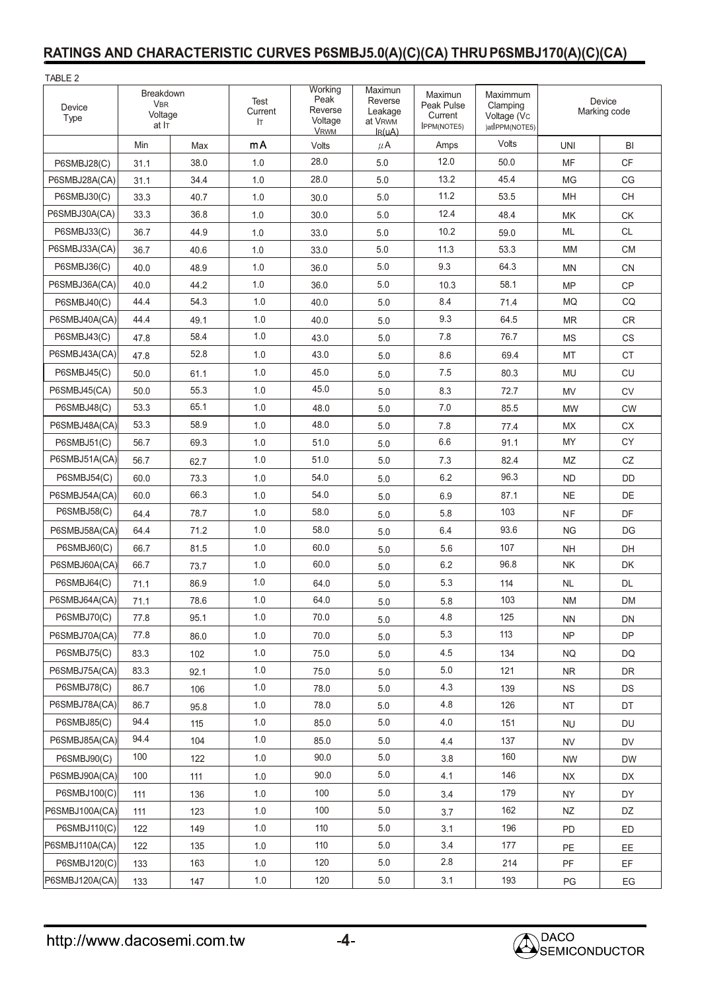#### **RATINGS AND CHARACTERISTIC CURVES P6SMBJ5.0(A)(C)(CA) THRUP6SMBJ170(A)(C)(CA)**

| TABLE 2                                                       |      |      |                       |                                                      |                                                         |                                                        |                                                       |                        |                        |
|---------------------------------------------------------------|------|------|-----------------------|------------------------------------------------------|---------------------------------------------------------|--------------------------------------------------------|-------------------------------------------------------|------------------------|------------------------|
| Breakdown<br><b>VBR</b><br>Device<br>Voltage<br>Type<br>at IT |      |      | Test<br>Current<br>lτ | Working<br>Peak<br>Reverse<br>Voltage<br><b>VRWM</b> | Maximun<br>Reverse<br>Leakage<br>at VRWM<br>$I_{R}(uA)$ | Maximun<br>Peak Pulse<br>Current<br><b>IPPM(NOTE5)</b> | Maximmum<br>Clamping<br>Voltage (Vc<br>)atlPPM(NOTE5) | Device<br>Marking code |                        |
|                                                               | Min  | Max  | mA                    | Volts                                                | $\mu$ A                                                 | Amps                                                   | Volts                                                 | <b>UNI</b>             | BI                     |
| P6SMBJ28(C)                                                   | 31.1 | 38.0 | 1.0                   | 28.0                                                 | 5.0                                                     | 12.0                                                   | 50.0                                                  | MF                     | CF                     |
| P6SMBJ28A(CA)                                                 | 31.1 | 34.4 | 1.0                   | 28.0                                                 | 5.0                                                     | 13.2                                                   | 45.4                                                  | <b>MG</b>              | CG                     |
| P6SMBJ30(C)                                                   | 33.3 | 40.7 | 1.0                   | 30.0                                                 | 5.0                                                     | 11.2                                                   | 53.5                                                  | MH                     | <b>CH</b>              |
| P6SMBJ30A(CA)                                                 | 33.3 | 36.8 | 1.0                   | 30.0                                                 | 5.0                                                     | 12.4                                                   | 48.4                                                  | MK                     | <b>CK</b>              |
| P6SMBJ33(C)                                                   | 36.7 | 44.9 | 1.0                   | 33.0                                                 | 5.0                                                     | 10.2                                                   | 59.0                                                  | ML                     | <b>CL</b>              |
| P6SMBJ33A(CA)                                                 | 36.7 | 40.6 | 1.0                   | 33.0                                                 | 5.0                                                     | 11.3                                                   | 53.3                                                  | МM                     | <b>CM</b>              |
| P6SMBJ36(C)                                                   | 40.0 | 48.9 | 1.0                   | 36.0                                                 | 5.0                                                     | 9.3                                                    | 64.3                                                  | ΜN                     | <b>CN</b>              |
| P6SMBJ36A(CA)                                                 | 40.0 | 44.2 | 1.0                   | 36.0                                                 | 5.0                                                     | 10.3                                                   | 58.1                                                  | <b>MP</b>              | CP                     |
| <b>P6SMBJ40(C)</b>                                            | 44.4 | 54.3 | 1.0                   | 40.0                                                 | 5.0                                                     | 8.4                                                    | 71.4                                                  | MQ                     | CQ                     |
| P6SMBJ40A(CA)                                                 | 44.4 | 49.1 | 1.0                   | 40.0                                                 | 5.0                                                     | 9.3                                                    | 64.5                                                  | MR                     | <b>CR</b>              |
| <b>P6SMBJ43(C)</b>                                            | 47.8 | 58.4 | 1.0                   | 43.0                                                 | 5.0                                                     | 7.8                                                    | 76.7                                                  | ΜS                     | <b>CS</b>              |
| P6SMBJ43A(CA)                                                 | 47.8 | 52.8 | 1.0                   | 43.0                                                 | 5.0                                                     | 8.6                                                    | 69.4                                                  | MT                     | <b>CT</b>              |
| P6SMBJ45(C)                                                   | 50.0 | 61.1 | 1.0                   | 45.0                                                 | 5.0                                                     | 7.5                                                    | 80.3                                                  | MU                     | CU                     |
| P6SMBJ45(CA)                                                  | 50.0 | 55.3 | 1.0                   | 45.0                                                 | 5.0                                                     | 8.3                                                    | 72.7                                                  | MV                     | <b>CV</b>              |
| P6SMBJ48(C)                                                   | 53.3 | 65.1 | 1.0                   | 48.0                                                 | 5.0                                                     | 7.0                                                    | 85.5                                                  | <b>MW</b>              | <b>CW</b>              |
| P6SMBJ48A(CA)                                                 | 53.3 | 58.9 | 1.0                   | 48.0                                                 | 5.0                                                     | 7.8                                                    | 77.4                                                  | <b>MX</b>              | <b>CX</b>              |
| P6SMBJ51(C)                                                   | 56.7 | 69.3 | 1.0                   | 51.0                                                 | 5.0                                                     | 6.6                                                    | 91.1                                                  | MY                     | CY                     |
| P6SMBJ51A(CA)                                                 | 56.7 | 62.7 | 1.0                   | 51.0                                                 | 5.0                                                     | 7.3                                                    | 82.4                                                  | MZ                     | CZ                     |
| P6SMBJ54(C)                                                   | 60.0 | 73.3 | 1.0                   | 54.0                                                 | 5.0                                                     | 6.2                                                    | 96.3                                                  | <b>ND</b>              | <b>DD</b>              |
| P6SMBJ54A(CA)                                                 | 60.0 | 66.3 | 1.0                   | 54.0                                                 | 5.0                                                     | 6.9                                                    | 87.1                                                  | <b>NE</b>              | DE                     |
| P6SMBJ58(C)                                                   | 64.4 | 78.7 | 1.0                   | 58.0                                                 | 5.0                                                     | 5.8                                                    | 103                                                   | <b>NF</b>              | DF                     |
| P6SMBJ58A(CA)                                                 | 64.4 | 71.2 | 1.0                   | 58.0                                                 | 5.0                                                     | 6.4                                                    | 93.6                                                  | <b>NG</b>              | DG                     |
| P6SMBJ60(C)                                                   | 66.7 | 81.5 | 1.0                   | 60.0                                                 | 5.0                                                     | 5.6                                                    | 107                                                   | <b>NH</b>              | DH                     |
| P6SMBJ60A(CA)                                                 | 66.7 | 73.7 | 1.0                   | 60.0                                                 | 5.0                                                     | 6.2                                                    | 96.8                                                  | <b>NK</b>              | DK                     |
| P6SMBJ64(C)                                                   | 71.1 | 86.9 | 1.0                   | 64.0                                                 | 5.0                                                     | 5.3                                                    | 114                                                   | NL                     | <b>DL</b>              |
| P6SMBJ64A(CA)                                                 | 71.1 | 78.6 | 1.0                   | 64.0                                                 | 5.0                                                     | 5.8                                                    | 103                                                   | ΝM                     | <b>DM</b>              |
| P6SMBJ70(C)                                                   | 77.8 | 95.1 | 1.0                   | 70.0                                                 | 5.0                                                     | 4.8                                                    | 125                                                   | <b>NN</b>              | DN                     |
| P6SMBJ70A(CA)                                                 | 77.8 | 86.0 | 1.0                   | 70.0                                                 | $5.0\,$                                                 | 5.3                                                    | 113                                                   | <b>NP</b>              | DP                     |
| P6SMBJ75(C)                                                   | 83.3 | 102  | 1.0                   | 75.0                                                 | $5.0\,$                                                 | 4.5                                                    | 134                                                   | <b>NQ</b>              | DQ                     |
| P6SMBJ75A(CA)                                                 | 83.3 | 92.1 | 1.0                   | 75.0                                                 | 5.0                                                     | $5.0\,$                                                | 121                                                   | <b>NR</b>              | DR                     |
| P6SMBJ78(C)                                                   | 86.7 | 106  | 1.0                   | 78.0                                                 | 5.0                                                     | 4.3                                                    | 139                                                   | <b>NS</b>              | <b>DS</b>              |
| P6SMBJ78A(CA)                                                 | 86.7 | 95.8 | 1.0                   | 78.0                                                 | 5.0                                                     | 4.8                                                    | 126                                                   | <b>NT</b>              | DT                     |
| P6SMBJ85(C)                                                   | 94.4 | 115  | 1.0                   | 85.0                                                 | 5.0                                                     | 4.0                                                    | 151                                                   | <b>NU</b>              | DU                     |
| P6SMBJ85A(CA)                                                 | 94.4 | 104  | 1.0                   | 85.0                                                 | 5.0                                                     | 4.4                                                    | 137                                                   | <b>NV</b>              | DV                     |
| P6SMBJ90(C)                                                   | 100  | 122  | 1.0                   | 90.0                                                 | 5.0                                                     | 3.8                                                    | 160                                                   | <b>NW</b>              | <b>DW</b>              |
| P6SMBJ90A(CA)                                                 | 100  | 111  | 1.0                   | 90.0                                                 | 5.0                                                     | 4.1                                                    | 146                                                   | <b>NX</b>              | DX                     |
| P6SMBJ100(C)                                                  | 111  | 136  | 1.0                   | 100                                                  | 5.0                                                     | 3.4                                                    | 179                                                   | <b>NY</b>              | DY                     |
| P6SMBJ100A(CA)                                                | 111  | 123  | 1.0                   | 100                                                  | $5.0\,$                                                 | 3.7                                                    | 162                                                   | <b>NZ</b>              | DZ                     |
| P6SMBJ110(C)                                                  | 122  | 149  | 1.0                   | 110                                                  | 5.0                                                     | 3.1                                                    | 196                                                   | PD                     | ED                     |
| P6SMBJ110A(CA)                                                | 122  | 135  | 1.0                   | 110                                                  | 5.0                                                     | 3.4                                                    | 177                                                   | PE                     | <b>EE</b>              |
| P6SMBJ120(C)                                                  | 133  | 163  | 1.0                   | 120                                                  | 5.0                                                     | 2.8                                                    | 214                                                   | PF                     | EF                     |
| P6SMBJ120A(CA)                                                | 133  | 147  | $1.0\,$               | 120                                                  | $5.0\,$                                                 | 3.1                                                    | 193                                                   | PG                     | $\mathsf{E}\mathsf{G}$ |